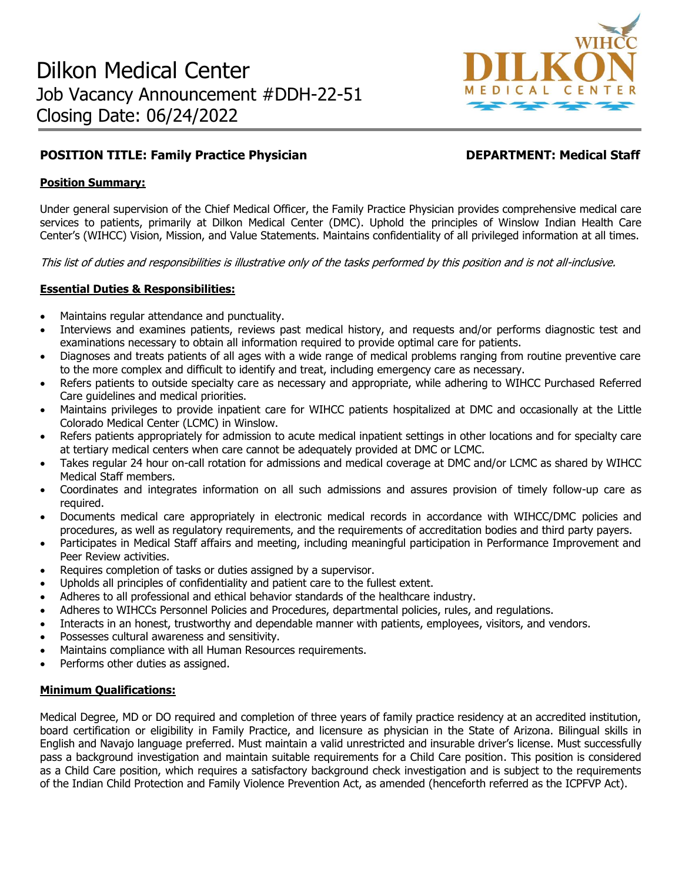

# **POSITION TITLE: Family Practice Physician DEPARTMENT: Medical Staff**

## **Position Summary:**

Under general supervision of the Chief Medical Officer, the Family Practice Physician provides comprehensive medical care services to patients, primarily at Dilkon Medical Center (DMC). Uphold the principles of Winslow Indian Health Care Center's (WIHCC) Vision, Mission, and Value Statements. Maintains confidentiality of all privileged information at all times.

This list of duties and responsibilities is illustrative only of the tasks performed by this position and is not all-inclusive.

### **Essential Duties & Responsibilities:**

- Maintains regular attendance and punctuality.
- Interviews and examines patients, reviews past medical history, and requests and/or performs diagnostic test and examinations necessary to obtain all information required to provide optimal care for patients.
- Diagnoses and treats patients of all ages with a wide range of medical problems ranging from routine preventive care to the more complex and difficult to identify and treat, including emergency care as necessary.
- Refers patients to outside specialty care as necessary and appropriate, while adhering to WIHCC Purchased Referred Care guidelines and medical priorities.
- Maintains privileges to provide inpatient care for WIHCC patients hospitalized at DMC and occasionally at the Little Colorado Medical Center (LCMC) in Winslow.
- Refers patients appropriately for admission to acute medical inpatient settings in other locations and for specialty care at tertiary medical centers when care cannot be adequately provided at DMC or LCMC.
- Takes regular 24 hour on-call rotation for admissions and medical coverage at DMC and/or LCMC as shared by WIHCC Medical Staff members.
- Coordinates and integrates information on all such admissions and assures provision of timely follow-up care as required.
- Documents medical care appropriately in electronic medical records in accordance with WIHCC/DMC policies and procedures, as well as regulatory requirements, and the requirements of accreditation bodies and third party payers.
- Participates in Medical Staff affairs and meeting, including meaningful participation in Performance Improvement and Peer Review activities.
- Requires completion of tasks or duties assigned by a supervisor.
- Upholds all principles of confidentiality and patient care to the fullest extent.
- Adheres to all professional and ethical behavior standards of the healthcare industry.
- Adheres to WIHCCs Personnel Policies and Procedures, departmental policies, rules, and regulations.
- Interacts in an honest, trustworthy and dependable manner with patients, employees, visitors, and vendors.
- Possesses cultural awareness and sensitivity.
- Maintains compliance with all Human Resources requirements.
- Performs other duties as assigned.

#### **Minimum Qualifications:**

Medical Degree, MD or DO required and completion of three years of family practice residency at an accredited institution, board certification or eligibility in Family Practice, and licensure as physician in the State of Arizona. Bilingual skills in English and Navajo language preferred. Must maintain a valid unrestricted and insurable driver's license. Must successfully pass a background investigation and maintain suitable requirements for a Child Care position. This position is considered as a Child Care position, which requires a satisfactory background check investigation and is subject to the requirements of the Indian Child Protection and Family Violence Prevention Act, as amended (henceforth referred as the ICPFVP Act).